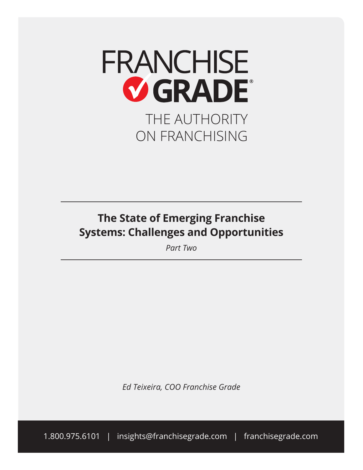

## **The State of Emerging Franchise Systems: Challenges and Opportunities**

*Part Two*

*Ed Teixeira, COO Franchise Grade*

1.800.975.6101 | insights@franchisegrade.com | franchisegrade.com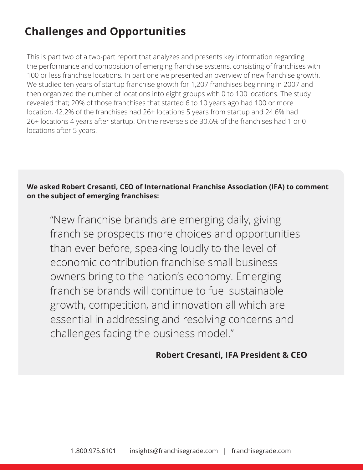# **Challenges and Opportunities**

This is part two of a two-part report that analyzes and presents key information regarding the performance and composition of emerging franchise systems, consisting of franchises with 100 or less franchise locations. In part one we presented an overview of new franchise growth. We studied ten years of startup franchise growth for 1,207 franchises beginning in 2007 and then organized the number of locations into eight groups with 0 to 100 locations. The study revealed that; 20% of those franchises that started 6 to 10 years ago had 100 or more location, 42.2% of the franchises had 26+ locations 5 years from startup and 24.6% had 26+ locations 4 years after startup. On the reverse side 30.6% of the franchises had 1 or 0 locations after 5 years.

**We asked Robert Cresanti, CEO of International Franchise Association (IFA) to comment on the subject of emerging franchises:** 

"New franchise brands are emerging daily, giving franchise prospects more choices and opportunities than ever before, speaking loudly to the level of economic contribution franchise small business owners bring to the nation's economy. Emerging franchise brands will continue to fuel sustainable growth, competition, and innovation all which are essential in addressing and resolving concerns and challenges facing the business model."

### **Robert Cresanti, IFA President & CEO**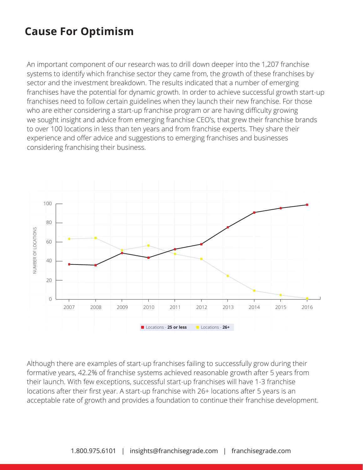# **Cause For Optimism**

An important component of our research was to drill down deeper into the 1,207 franchise systems to identify which franchise sector they came from, the growth of these franchises by sector and the investment breakdown. The results indicated that a number of emerging franchises have the potential for dynamic growth. In order to achieve successful growth start-up franchises need to follow certain guidelines when they launch their new franchise. For those who are either considering a start-up franchise program or are having difficulty growing we sought insight and advice from emerging franchise CEO's, that grew their franchise brands to over 100 locations in less than ten years and from franchise experts. They share their experience and offer advice and suggestions to emerging franchises and businesses considering franchising their business.



Although there are examples of start-up franchises failing to successfully grow during their formative years, 42.2% of franchise systems achieved reasonable growth after 5 years from their launch. With few exceptions, successful start-up franchises will have 1-3 franchise locations after their first year. A start-up franchise with 26+ locations after 5 years is an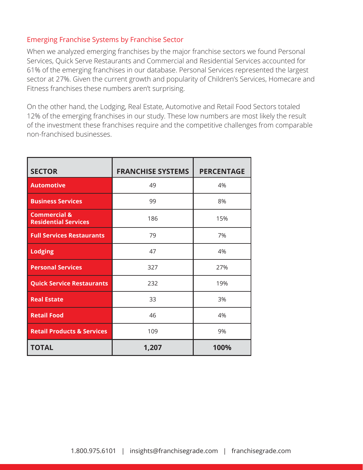#### Emerging Franchise Systems by Franchise Sector

When we analyzed emerging franchises by the major franchise sectors we found Personal Services, Quick Serve Restaurants and Commercial and Residential Services accounted for 61% of the emerging franchises in our database. Personal Services represented the largest sector at 27%. Given the current growth and popularity of Children's Services, Homecare and Fitness franchises these numbers aren't surprising.

On the other hand, the Lodging, Real Estate, Automotive and Retail Food Sectors totaled 12% of the emerging franchises in our study. These low numbers are most likely the result of the investment these franchises require and the competitive challenges from comparable non-franchised businesses.

| <b>SECTOR</b>                                          | <b>FRANCHISE SYSTEMS</b> | <b>PERCENTAGE</b> |  |
|--------------------------------------------------------|--------------------------|-------------------|--|
| <b>Automotive</b>                                      | 49                       | 4%                |  |
| <b>Business Services</b>                               | 99                       | 8%                |  |
| <b>Commercial &amp;</b><br><b>Residential Services</b> | 186                      | 15%               |  |
| <b>Full Services Restaurants</b>                       | 79                       | 7%                |  |
| <b>Lodging</b>                                         | 47                       | 4%                |  |
| <b>Personal Services</b>                               | 327                      | 27%               |  |
| <b>Quick Service Restaurants</b>                       | 232                      | 19%               |  |
| <b>Real Estate</b>                                     | 33                       | 3%                |  |
| <b>Retail Food</b>                                     | 46                       | 4%                |  |
| <b>Retail Products &amp; Services</b>                  | 109                      | 9%                |  |
| <b>TOTAL</b>                                           | 1,207                    | 100%              |  |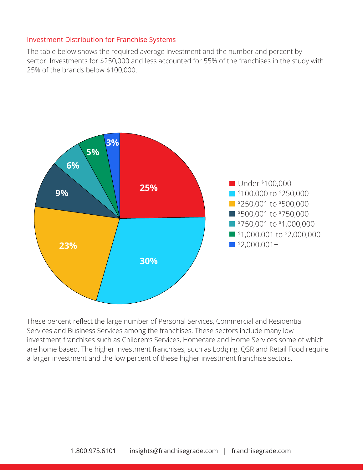#### Investment Distribution for Franchise Systems

The table below shows the required average investment and the number and percent by sector. Investments for \$250,000 and less accounted for 55% of the franchises in the study with 25% of the brands below \$100,000.



These percent reflect the large number of Personal Services, Commercial and Residential Services and Business Services among the franchises. These sectors include many low investment franchises such as Children's Services, Homecare and Home Services some of which are home based. The higher investment franchises, such as Lodging, QSR and Retail Food require a larger investment and the low percent of these higher investment franchise sectors.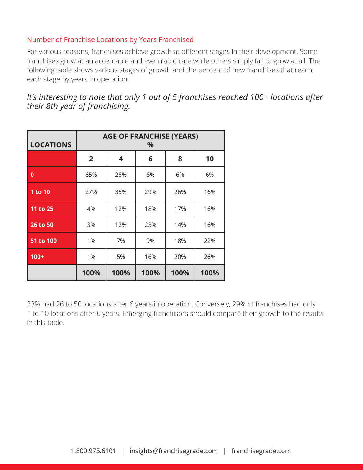#### Number of Franchise Locations by Years Franchised

For various reasons, franchises achieve growth at different stages in their development. Some franchises grow at an acceptable and even rapid rate while others simply fail to grow at all. The following table shows various stages of growth and the percent of new franchises that reach each stage by years in operation.

*It's interesting to note that only 1 out of 5 franchises reached 100+ locations after their 8th year of franchising.*

| <b>LOCATIONS</b> | <b>AGE OF FRANCHISE (YEARS)</b><br>$\%$ |      |      |      |      |  |
|------------------|-----------------------------------------|------|------|------|------|--|
|                  | $\overline{2}$                          | 4    | 6    | 8    | 10   |  |
| $\bf{0}$         | 65%                                     | 28%  | 6%   | 6%   | 6%   |  |
| 1 to 10          | 27%                                     | 35%  | 29%  | 26%  | 16%  |  |
| 11 to 25         | 4%                                      | 12%  | 18%  | 17%  | 16%  |  |
| 26 to 50         | 3%                                      | 12%  | 23%  | 14%  | 16%  |  |
| 51 to 100        | 1%                                      | 7%   | 9%   | 18%  | 22%  |  |
| $100+$           | 1%                                      | 5%   | 16%  | 20%  | 26%  |  |
|                  | 100%                                    | 100% | 100% | 100% | 100% |  |

23% had 26 to 50 locations after 6 years in operation. Conversely, 29% of franchises had only 1 to 10 locations after 6 years. Emerging franchisors should compare their growth to the results in this table.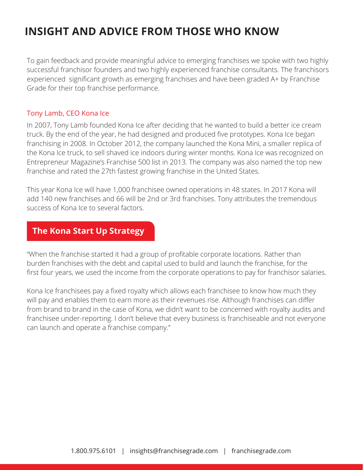To gain feedback and provide meaningful advice to emerging franchises we spoke with two highly successful franchisor founders and two highly experienced franchise consultants. The franchisors experienced significant growth as emerging franchises and have been graded A+ by Franchise Grade for their top franchise performance.

#### Tony Lamb, CEO Kona Ice

In 2007, Tony Lamb founded Kona Ice after deciding that he wanted to build a better ice cream truck. By the end of the year, he had designed and produced five prototypes. Kona Ice began franchising in 2008. In October 2012, the company launched the Kona Mini, a smaller replica of the Kona Ice truck, to sell shaved ice indoors during winter months. Kona Ice was recognized on Entrepreneur Magazine's Franchise 500 list in 2013. The company was also named the top new franchise and rated the 27th fastest growing franchise in the United States.

This year Kona Ice will have 1,000 franchisee owned operations in 48 states. In 2017 Kona will add 140 new franchises and 66 will be 2nd or 3rd franchises. Tony attributes the tremendous success of Kona Ice to several factors.

### **The Kona Start Up Strategy**

"When the franchise started it had a group of profitable corporate locations. Rather than burden franchises with the debt and capital used to build and launch the franchise, for the first four years, we used the income from the corporate operations to pay for franchisor salaries.

Kona Ice franchisees pay a fixed royalty which allows each franchisee to know how much they will pay and enables them to earn more as their revenues rise. Although franchises can differ from brand to brand in the case of Kona, we didn't want to be concerned with royalty audits and franchisee under-reporting. I don't believe that every business is franchiseable and not everyone can launch and operate a franchise company."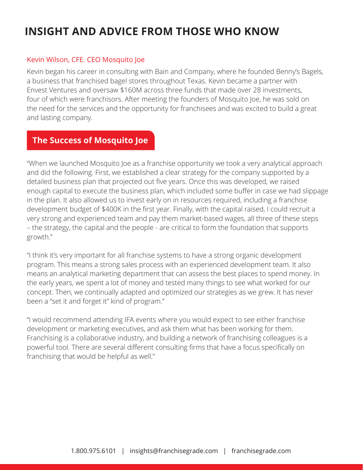#### Kevin Wilson, CFE. CEO Mosquito Joe

Kevin began his career in consulting with Bain and Company, where he founded Benny's Bagels, a business that franchised bagel stores throughout Texas. Kevin became a partner with Envest Ventures and oversaw \$160M across three funds that made over 28 investments, four of which were franchisors. After meeting the founders of Mosquito Joe, he was sold on the need for the services and the opportunity for franchisees and was excited to build a great and lasting company.

### **The Success of Mosquito Joe**

"When we launched Mosquito Joe as a franchise opportunity we took a very analytical approach and did the following. First, we established a clear strategy for the company supported by a detailed business plan that projected out five years. Once this was developed, we raised enough capital to execute the business plan, which included some buffer in case we had slippage in the plan. It also allowed us to invest early on in resources required, including a franchise development budget of \$400K in the first year. Finally, with the capital raised, I could recruit a very strong and experienced team and pay them market-based wages, all three of these steps – the strategy, the capital and the people - are critical to form the foundation that supports growth."

"I think it's very important for all franchise systems to have a strong organic development program. This means a strong sales process with an experienced development team. It also means an analytical marketing department that can assess the best places to spend money. In the early years, we spent a lot of money and tested many things to see what worked for our concept. Then, we continually adapted and optimized our strategies as we grew. It has never been a "set it and forget it" kind of program."

"I would recommend attending IFA events where you would expect to see either franchise development or marketing executives, and ask them what has been working for them. Franchising is a collaborative industry, and building a network of franchising colleagues is a powerful tool. There are several different consulting firms that have a focus specifically on franchising that would be helpful as well."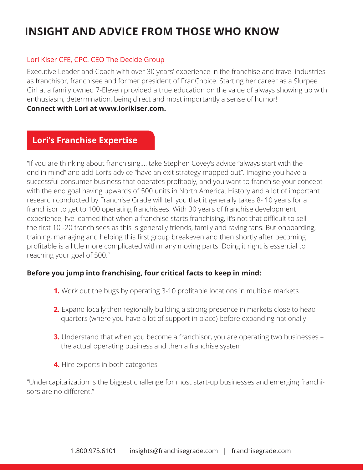#### Lori Kiser CFE, CPC. CEO The Decide Group

Executive Leader and Coach with over 30 years' experience in the franchise and travel industries as franchisor, franchisee and former president of FranChoice. Starting her career as a Slurpee Girl at a family owned 7-Eleven provided a true education on the value of always showing up with enthusiasm, determination, being direct and most importantly a sense of humor! **Connect with Lori at www.lorikiser.com.**

### **Lori's Franchise Expertise**

"If you are thinking about franchising…. take Stephen Covey's advice "always start with the end in mind" and add Lori's advice "have an exit strategy mapped out". Imagine you have a successful consumer business that operates profitably, and you want to franchise your concept with the end goal having upwards of 500 units in North America. History and a lot of important research conducted by Franchise Grade will tell you that it generally takes 8- 10 years for a franchisor to get to 100 operating franchisees. With 30 years of franchise development experience, I've learned that when a franchise starts franchising, it's not that difficult to sell the first 10 -20 franchisees as this is generally friends, family and raving fans. But onboarding, training, managing and helping this first group breakeven and then shortly after becoming profitable is a little more complicated with many moving parts. Doing it right is essential to reaching your goal of 500."

#### **Before you jump into franchising, four critical facts to keep in mind:**

- **1.** Work out the bugs by operating 3-10 profitable locations in multiple markets
- **2.** Expand locally then regionally building a strong presence in markets close to head quarters (where you have a lot of support in place) before expanding nationally
- **3.** Understand that when you become a franchisor, you are operating two businesses the actual operating business and then a franchise system
- **4.** Hire experts in both categories

"Undercapitalization is the biggest challenge for most start-up businesses and emerging franchisors are no different."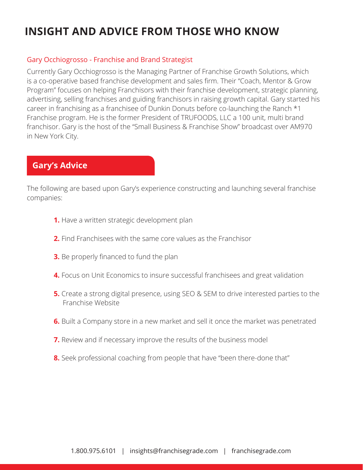#### Gary Occhiogrosso - Franchise and Brand Strategist

Currently Gary Occhiogrosso is the Managing Partner of Franchise Growth Solutions, which is a co-operative based franchise development and sales firm. Their "Coach, Mentor & Grow Program" focuses on helping Franchisors with their franchise development, strategic planning, advertising, selling franchises and guiding franchisors in raising growth capital. Gary started his career in franchising as a franchisee of Dunkin Donuts before co-launching the Ranch \*1 Franchise program. He is the former President of TRUFOODS, LLC a 100 unit, multi brand franchisor. Gary is the host of the "Small Business & Franchise Show" broadcast over AM970 in New York City.

### **Gary's Advice**

The following are based upon Gary's experience constructing and launching several franchise companies:

- **1.** Have a written strategic development plan
- **2.** Find Franchisees with the same core values as the Franchisor
- **3.** Be properly financed to fund the plan
- **4.** Focus on Unit Economics to insure successful franchisees and great validation
- **5.** Create a strong digital presence, using SEO & SEM to drive interested parties to the Franchise Website
- **6.** Built a Company store in a new market and sell it once the market was penetrated
- **7.** Review and if necessary improve the results of the business model
- **8.** Seek professional coaching from people that have "been there-done that"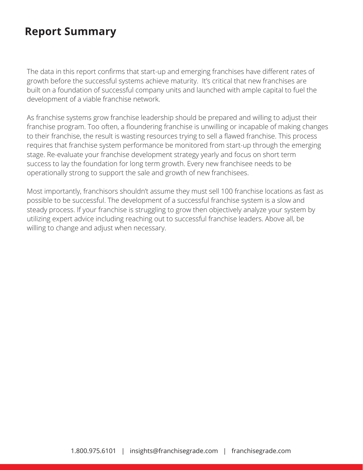### **Report Summary**

The data in this report confirms that start-up and emerging franchises have different rates of growth before the successful systems achieve maturity. It's critical that new franchises are built on a foundation of successful company units and launched with ample capital to fuel the development of a viable franchise network.

As franchise systems grow franchise leadership should be prepared and willing to adjust their franchise program. Too often, a floundering franchise is unwilling or incapable of making changes to their franchise, the result is wasting resources trying to sell a flawed franchise. This process requires that franchise system performance be monitored from start-up through the emerging stage. Re-evaluate your franchise development strategy yearly and focus on short term success to lay the foundation for long term growth. Every new franchisee needs to be operationally strong to support the sale and growth of new franchisees.

Most importantly, franchisors shouldn't assume they must sell 100 franchise locations as fast as possible to be successful. The development of a successful franchise system is a slow and steady process. If your franchise is struggling to grow then objectively analyze your system by utilizing expert advice including reaching out to successful franchise leaders. Above all, be willing to change and adjust when necessary.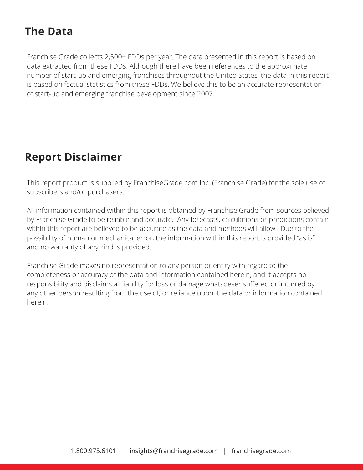# **The Data**

Franchise Grade collects 2,500+ FDDs per year. The data presented in this report is based on data extracted from these FDDs. Although there have been references to the approximate number of start-up and emerging franchises throughout the United States, the data in this report is based on factual statistics from these FDDs. We believe this to be an accurate representation of start-up and emerging franchise development since 2007.

### **Report Disclaimer**

This report product is supplied by FranchiseGrade.com Inc. (Franchise Grade) for the sole use of subscribers and/or purchasers.

All information contained within this report is obtained by Franchise Grade from sources believed by Franchise Grade to be reliable and accurate. Any forecasts, calculations or predictions contain within this report are believed to be accurate as the data and methods will allow. Due to the possibility of human or mechanical error, the information within this report is provided "as is" and no warranty of any kind is provided.

Franchise Grade makes no representation to any person or entity with regard to the completeness or accuracy of the data and information contained herein, and it accepts no responsibility and disclaims all liability for loss or damage whatsoever suffered or incurred by any other person resulting from the use of, or reliance upon, the data or information contained herein.